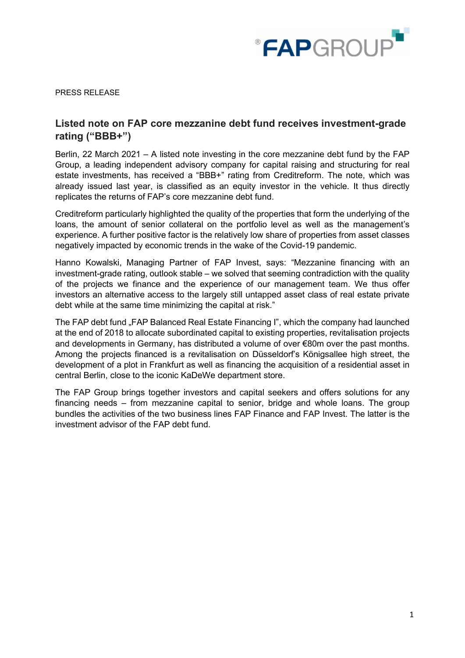

PRESS RELEASE

## Listed note on FAP core mezzanine debt fund receives investment-grade rating ("BBB+")

Berlin, 22 March 2021 – A listed note investing in the core mezzanine debt fund by the FAP Group, a leading independent advisory company for capital raising and structuring for real estate investments, has received a "BBB+" rating from Creditreform. The note, which was already issued last year, is classified as an equity investor in the vehicle. It thus directly replicates the returns of FAP's core mezzanine debt fund.

Creditreform particularly highlighted the quality of the properties that form the underlying of the loans, the amount of senior collateral on the portfolio level as well as the management's experience. A further positive factor is the relatively low share of properties from asset classes negatively impacted by economic trends in the wake of the Covid-19 pandemic.

Hanno Kowalski, Managing Partner of FAP Invest, says: "Mezzanine financing with an investment-grade rating, outlook stable – we solved that seeming contradiction with the quality of the projects we finance and the experience of our management team. We thus offer investors an alternative access to the largely still untapped asset class of real estate private debt while at the same time minimizing the capital at risk."

The FAP debt fund "FAP Balanced Real Estate Financing I", which the company had launched at the end of 2018 to allocate subordinated capital to existing properties, revitalisation projects and developments in Germany, has distributed a volume of over €80m over the past months. Among the projects financed is a revitalisation on Düsseldorf's Königsallee high street, the development of a plot in Frankfurt as well as financing the acquisition of a residential asset in central Berlin, close to the iconic KaDeWe department store.

The FAP Group brings together investors and capital seekers and offers solutions for any financing needs – from mezzanine capital to senior, bridge and whole loans. The group bundles the activities of the two business lines FAP Finance and FAP Invest. The latter is the investment advisor of the FAP debt fund.